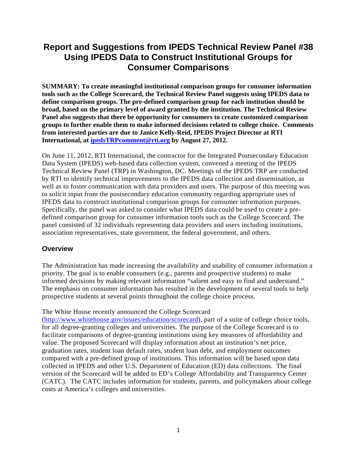# **Report and Suggestions from IPEDS Technical Review Panel #38 Using IPEDS Data to Construct Institutional Groups for Consumer Comparisons**

**SUMMARY: To create meaningful institutional comparison groups for consumer information tools such as the College Scorecard, the Technical Review Panel suggests using IPEDS data to define comparison groups. The pre-defined comparison group for each institution should be broad, based on the primary level of award granted by the institution. The Technical Review Panel also suggests that there be opportunity for consumers to create customized comparison groups to further enable them to make informed decisions related to college choice. Comments from interested parties are due to Janice Kelly-Reid, IPEDS Project Director at RTI International, at ipedsTRPcomment@rti.org by August 27, 2012.** 

On June 11, 2012, RTI International, the contractor for the Integrated Postsecondary Education Data System (IPEDS) web-based data collection system, convened a meeting of the IPEDS Technical Review Panel (TRP) in Washington, DC. Meetings of the IPEDS TRP are conducted by RTI to identify technical improvements to the IPEDS data collection and dissemination, as well as to foster communication with data providers and users. The purpose of this meeting was to solicit input from the postsecondary education community regarding appropriate uses of IPEDS data to construct institutional comparison groups for consumer information purposes. Specifically, the panel was asked to consider what IPEDS data could be used to create a predefined comparison group for consumer information tools such as the College Scorecard. The panel consisted of 32 individuals representing data providers and users including institutions, association representatives, state government, the federal government, and others.

## **Overview**

The Administration has made increasing the availability and usability of consumer information a priority. The goal is to enable consumers (e.g., parents and prospective students) to make informed decisions by making relevant information "salient and easy to find and understand." The emphasis on consumer information has resulted in the development of several tools to help prospective students at several points throughout the college choice process.

#### The White House recently announced the College Scorecard

(http://www.whitehouse.gov/issues/education/scorecard), part of a suite of college choice tools, for all degree-granting colleges and universities. The purpose of the College Scorecard is to facilitate comparisons of degree-granting institutions using key measures of affordability and value. The proposed Scorecard will display information about an institution's net price, graduation rates, student loan default rates, student loan debt, and employment outcomes compared with a pre-defined group of institutions. This information will be based upon data collected in IPEDS and other U.S. Department of Education (ED) data collections. The final version of the Scorecard will be added to ED's College Affordability and Transparency Center (CATC). The CATC includes information for students, parents, and policymakers about college costs at America's colleges and universities.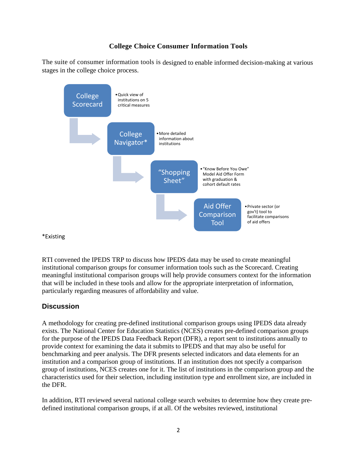# **College Choice Consumer Information Tools**

The suite of consumer information tools is designed to enable informed decision-making at various stages in the college choice process.



\*Existing

RTI convened the IPEDS TRP to discuss how IPEDS data may be used to create meaningful institutional comparison groups for consumer information tools such as the Scorecard. Creating meaningful institutional comparison groups will help provide consumers context for the information that will be included in these tools and allow for the appropriate interpretation of information, particularly regarding measures of affordability and value.

## **Discussion**

A methodology for creating pre-defined institutional comparison groups using IPEDS data already exists. The National Center for Education Statistics (NCES) creates pre-defined comparison groups for the purpose of the IPEDS Data Feedback Report (DFR), a report sent to institutions annually to provide context for examining the data it submits to IPEDS and that may also be useful for benchmarking and peer analysis. The DFR presents selected indicators and data elements for an institution and a comparison group of institutions. If an institution does not specify a comparison group of institutions, NCES creates one for it. The list of institutions in the comparison group and the characteristics used for their selection, including institution type and enrollment size, are included in the DFR.

In addition, RTI reviewed several national college search websites to determine how they create predefined institutional comparison groups, if at all. Of the websites reviewed, institutional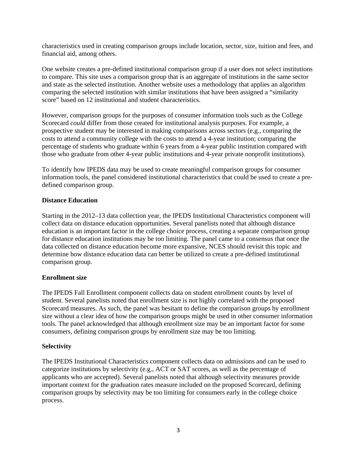characteristics used in creating comparison groups include location, sector, size, tuition and fees, and financial aid, among others.

One website creates a pre-defined institutional comparison group if a user does not select institutions to compare. This site uses a comparison group that is an aggregate of institutions in the same sector and state as the selected institution. Another website uses a methodology that applies an algorithm comparing the selected institution with similar institutions that have been assigned a "similarity score" based on 12 institutional and student characteristics.

However, comparison groups for the purposes of consumer information tools such as the College Scorecard *could* differ from those created for institutional analysis purposes. For example, a prospective student may be interested in making comparisons across sectors (e.g., comparing the costs to attend a community college with the costs to attend a 4-year institution; comparing the percentage of students who graduate within 6 years from a 4-year public institution compared with those who graduate from other 4-year public institutions and 4-year private nonprofit institutions).

To identify how IPEDS data may be used to create meaningful comparison groups for consumer information tools, the panel considered institutional characteristics that could be used to create a predefined comparison group.

#### **Distance Education**

Starting in the 2012–13 data collection year, the IPEDS Institutional Characteristics component will collect data on distance education opportunities. Several panelists noted that although distance education is an important factor in the college choice process, creating a separate comparison group for distance education institutions may be too limiting. The panel came to a consensus that once the data collected on distance education become more expansive, NCES should revisit this topic and determine how distance education data can better be utilized to create a pre-defined institutional comparison group.

#### **Enrollment size**

The IPEDS Fall Enrollment component collects data on student enrollment counts by level of student. Several panelists noted that enrollment size is not highly correlated with the proposed Scorecard measures. As such, the panel was hesitant to define the comparison groups by enrollment size without a clear idea of how the comparison groups might be used in other consumer information tools. The panel acknowledged that although enrollment size may be an important factor for some consumers, defining comparison groups by enrollment size may be too limiting.

#### **Selectivity**

The IPEDS Institutional Characteristics component collects data on admissions and can be used to categorize institutions by selectivity (e.g., ACT or SAT scores, as well as the percentage of applicants who are accepted). Several panelists noted that although selectivity measures provide important context for the graduation rates measure included on the proposed Scorecard, defining comparison groups by selectivity may be too limiting for consumers early in the college choice process.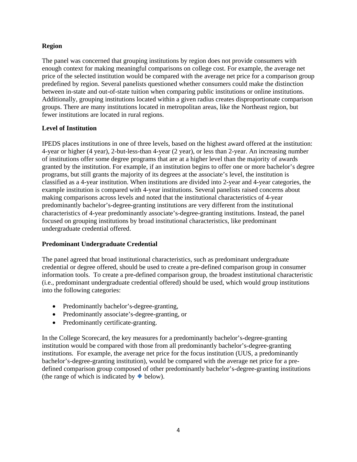#### **Region**

The panel was concerned that grouping institutions by region does not provide consumers with enough context for making meaningful comparisons on college cost. For example, the average net price of the selected institution would be compared with the average net price for a comparison group predefined by region. Several panelists questioned whether consumers could make the distinction between in-state and out-of-state tuition when comparing public institutions or online institutions. Additionally, grouping institutions located within a given radius creates disproportionate comparison groups. There are many institutions located in metropolitan areas, like the Northeast region, but fewer institutions are located in rural regions.

#### **Level of Institution**

IPEDS places institutions in one of three levels, based on the highest award offered at the institution: 4-year or higher (4 year), 2-but-less-than 4-year (2 year), or less than 2-year. An increasing number of institutions offer some degree programs that are at a higher level than the majority of awards granted by the institution. For example, if an institution begins to offer one or more bachelor's degree programs, but still grants the majority of its degrees at the associate's level, the institution is classified as a 4-year institution. When institutions are divided into 2-year and 4-year categories, the example institution is compared with 4-year institutions. Several panelists raised concerns about making comparisons across levels and noted that the institutional characteristics of 4-year predominantly bachelor's-degree-granting institutions are very different from the institutional characteristics of 4-year predominantly associate's-degree-granting institutions. Instead, the panel focused on grouping institutions by broad institutional characteristics, like predominant undergraduate credential offered.

#### **Predominant Undergraduate Credential**

The panel agreed that broad institutional characteristics, such as predominant undergraduate credential or degree offered, should be used to create a pre-defined comparison group in consumer information tools. To create a pre-defined comparison group, the broadest institutional characteristic (i.e., predominant undergraduate credential offered) should be used, which would group institutions into the following categories:

- Predominantly bachelor's-degree-granting,
- Predominantly associate's-degree-granting, or
- Predominantly certificate-granting.

In the College Scorecard, the key measures for a predominantly bachelor's-degree-granting institution would be compared with those from all predominantly bachelor's-degree-granting institutions. For example, the average net price for the focus institution (UUS, a predominantly bachelor's-degree-granting institution), would be compared with the average net price for a predefined comparison group composed of other predominantly bachelor's-degree-granting institutions (the range of which is indicated by  $\blacklozenge$  below).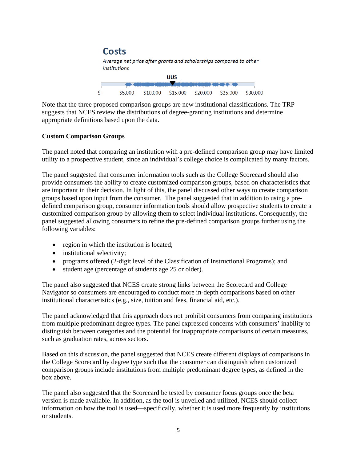

Note that the three proposed comparison groups are new institutional classifications. The TRP suggests that NCES review the distributions of degree-granting institutions and determine appropriate definitions based upon the data.

#### **Custom Comparison Groups**

The panel noted that comparing an institution with a pre-defined comparison group may have limited utility to a prospective student, since an individual's college choice is complicated by many factors.

The panel suggested that consumer information tools such as the College Scorecard should also provide consumers the ability to create customized comparison groups, based on characteristics that are important in their decision. In light of this, the panel discussed other ways to create comparison groups based upon input from the consumer. The panel suggested that in addition to using a predefined comparison group, consumer information tools should allow prospective students to create a customized comparison group by allowing them to select individual institutions. Consequently, the panel suggested allowing consumers to refine the pre-defined comparison groups further using the following variables:

- region in which the institution is located;
- institutional selectivity;
- programs offered (2-digit level of the Classification of Instructional Programs); and
- student age (percentage of students age 25 or older).

The panel also suggested that NCES create strong links between the Scorecard and College Navigator so consumers are encouraged to conduct more in-depth comparisons based on other institutional characteristics (e.g., size, tuition and fees, financial aid, etc.).

The panel acknowledged that this approach does not prohibit consumers from comparing institutions from multiple predominant degree types. The panel expressed concerns with consumers' inability to distinguish between categories and the potential for inappropriate comparisons of certain measures, such as graduation rates, across sectors.

Based on this discussion, the panel suggested that NCES create different displays of comparisons in the College Scorecard by degree type such that the consumer can distinguish when customized comparison groups include institutions from multiple predominant degree types, as defined in the box above.

The panel also suggested that the Scorecard be tested by consumer focus groups once the beta version is made available. In addition, as the tool is unveiled and utilized, NCES should collect information on how the tool is used—specifically, whether it is used more frequently by institutions or students.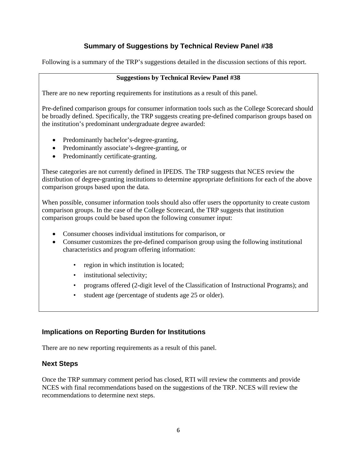# **Summary of Suggestions by Technical Review Panel #38**

Following is a summary of the TRP's suggestions detailed in the discussion sections of this report.

#### **Suggestions by Technical Review Panel #38**

There are no new reporting requirements for institutions as a result of this panel.

Pre-defined comparison groups for consumer information tools such as the College Scorecard should be broadly defined. Specifically, the TRP suggests creating pre-defined comparison groups based on the institution's predominant undergraduate degree awarded:

- Predominantly bachelor's-degree-granting,
- Predominantly associate's-degree-granting, or
- Predominantly certificate-granting.

These categories are not currently defined in IPEDS. The TRP suggests that NCES review the distribution of degree-granting institutions to determine appropriate definitions for each of the above comparison groups based upon the data.

When possible, consumer information tools should also offer users the opportunity to create custom comparison groups. In the case of the College Scorecard, the TRP suggests that institution comparison groups could be based upon the following consumer input:

- Consumer chooses individual institutions for comparison, or
- Consumer customizes the pre-defined comparison group using the following institutional characteristics and program offering information:
	- region in which institution is located;
	- institutional selectivity;
	- programs offered (2-digit level of the Classification of Instructional Programs); and
	- student age (percentage of students age 25 or older).

# **Implications on Reporting Burden for Institutions**

There are no new reporting requirements as a result of this panel.

## **Next Steps**

Once the TRP summary comment period has closed, RTI will review the comments and provide NCES with final recommendations based on the suggestions of the TRP. NCES will review the recommendations to determine next steps.